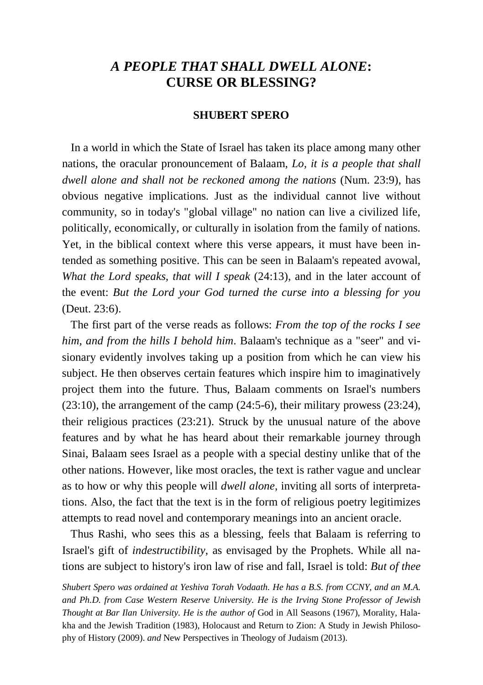# *A PEOPLE THAT SHALL DWELL ALONE***: CURSE OR BLESSING?**

# **SHUBERT SPERO**

 In a world in which the State of Israel has taken its place among many other nations, the oracular pronouncement of Balaam, *Lo, it is a people that shall dwell alone and shall not be reckoned among the nations* (Num. 23:9), has obvious negative implications. Just as the individual cannot live without community, so in today's "global village" no nation can live a civilized life, politically, economically, or culturally in isolation from the family of nations. Yet, in the biblical context where this verse appears, it must have been intended as something positive. This can be seen in Balaam's repeated avowal, *What the Lord speaks, that will I speak* (24:13), and in the later account of the event: *But the Lord your God turned the curse into a blessing for you* (Deut. 23:6).

 The first part of the verse reads as follows: *From the top of the rocks I see him, and from the hills I behold him*. Balaam's technique as a "seer" and visionary evidently involves taking up a position from which he can view his subject. He then observes certain features which inspire him to imaginatively project them into the future. Thus, Balaam comments on Israel's numbers  $(23:10)$ , the arrangement of the camp  $(24:5-6)$ , their military prowess  $(23:24)$ , their religious practices (23:21). Struck by the unusual nature of the above features and by what he has heard about their remarkable journey through Sinai, Balaam sees Israel as a people with a special destiny unlike that of the other nations. However, like most oracles, the text is rather vague and unclear as to how or why this people will *dwell alone*, inviting all sorts of interpretations. Also, the fact that the text is in the form of religious poetry legitimizes attempts to read novel and contemporary meanings into an ancient oracle.

 Thus Rashi, who sees this as a blessing, feels that Balaam is referring to Israel's gift of *indestructibility*, as envisaged by the Prophets. While all nations are subject to history's iron law of rise and fall, Israel is told: *But of thee* 

*Shubert Spero was ordained at Yeshiva Torah Vodaath. He has a B.S. from CCNY, and an M.A. and Ph.D. from Case Western Reserve University. He is the Irving Stone Professor of Jewish Thought at Bar Ilan University. He is the author of* God in All Seasons (1967), Morality, Halakha and the Jewish Tradition (1983), Holocaust and Return to Zion: A Study in Jewish Philosophy of History (2009). *and* New Perspectives in Theology of Judaism (2013).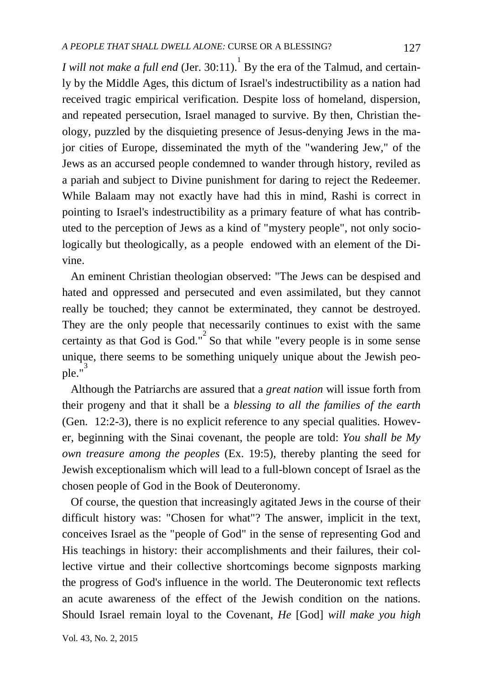*I will not make a full end* (Jer. 30:11). By the era of the Talmud, and certainly by the Middle Ages, this dictum of Israel's indestructibility as a nation had received tragic empirical verification. Despite loss of homeland, dispersion, and repeated persecution, Israel managed to survive. By then, Christian theology, puzzled by the disquieting presence of Jesus-denying Jews in the major cities of Europe, disseminated the myth of the "wandering Jew," of the Jews as an accursed people condemned to wander through history, reviled as a pariah and subject to Divine punishment for daring to reject the Redeemer. While Balaam may not exactly have had this in mind, Rashi is correct in pointing to Israel's indestructibility as a primary feature of what has contributed to the perception of Jews as a kind of "mystery people", not only sociologically but theologically, as a people endowed with an element of the Divine.

 An eminent Christian theologian observed: "The Jews can be despised and hated and oppressed and persecuted and even assimilated, but they cannot really be touched; they cannot be exterminated, they cannot be destroyed. They are the only people that necessarily continues to exist with the same certainty as that God is God."<sup>2</sup> So that while "every people is in some sense unique, there seems to be something uniquely unique about the Jewish people." 3

 Although the Patriarchs are assured that a *great nation* will issue forth from their progeny and that it shall be a *blessing to all the families of the earth* (Gen. 12:2-3), there is no explicit reference to any special qualities. However, beginning with the Sinai covenant, the people are told: *You shall be My own treasure among the peoples* (Ex. 19:5), thereby planting the seed for Jewish exceptionalism which will lead to a full-blown concept of Israel as the chosen people of God in the Book of Deuteronomy.

 Of course, the question that increasingly agitated Jews in the course of their difficult history was: "Chosen for what"? The answer, implicit in the text, conceives Israel as the "people of God" in the sense of representing God and His teachings in history: their accomplishments and their failures, their collective virtue and their collective shortcomings become signposts marking the progress of God's influence in the world. The Deuteronomic text reflects an acute awareness of the effect of the Jewish condition on the nations. Should Israel remain loyal to the Covenant, *He* [God] *will make you high*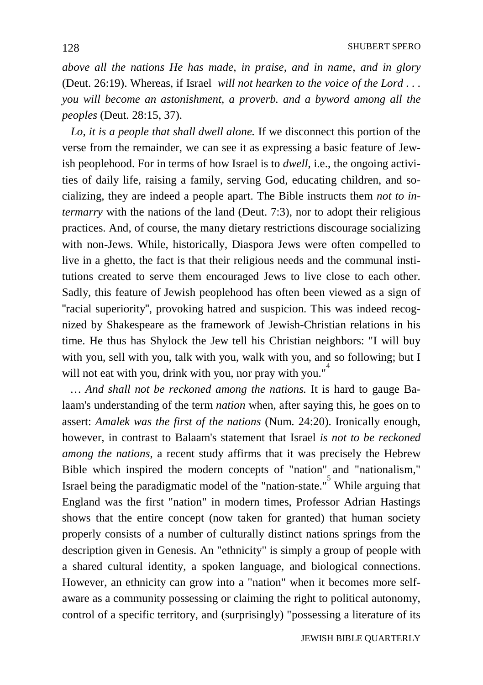*above all the nations He has made, in praise, and in name, and in glory* (Deut. 26:19). Whereas, if Israel *will not hearken to the voice of the Lord . . . you will become an astonishment, a proverb. and a byword among all the peoples* (Deut. 28:15, 37).

 *Lo, it is a people that shall dwell alone.* If we disconnect this portion of the verse from the remainder, we can see it as expressing a basic feature of Jewish peoplehood. For in terms of how Israel is to *dwell*, i.e., the ongoing activities of daily life, raising a family, serving God, educating children, and socializing, they are indeed a people apart. The Bible instructs them *not to intermarry* with the nations of the land (Deut. 7:3), nor to adopt their religious practices. And, of course, the many dietary restrictions discourage socializing with non-Jews. While, historically, Diaspora Jews were often compelled to live in a ghetto, the fact is that their religious needs and the communal institutions created to serve them encouraged Jews to live close to each other. Sadly, this feature of Jewish peoplehood has often been viewed as a sign of "racial superiority", provoking hatred and suspicion. This was indeed recognized by Shakespeare as the framework of Jewish-Christian relations in his time. He thus has Shylock the Jew tell his Christian neighbors: "I will buy with you, sell with you, talk with you, walk with you, and so following; but I will not eat with you, drink with you, nor pray with you."

 *… And shall not be reckoned among the nations.* It is hard to gauge Balaam's understanding of the term *nation* when, after saying this, he goes on to assert: *Amalek was the first of the nations* (Num. 24:20). Ironically enough, however, in contrast to Balaam's statement that Israel *is not to be reckoned among the nations*, a recent study affirms that it was precisely the Hebrew Bible which inspired the modern concepts of "nation" and "nationalism," Israel being the paradigmatic model of the "nation-state." 5 While arguing that England was the first "nation" in modern times, Professor Adrian Hastings shows that the entire concept (now taken for granted) that human society properly consists of a number of culturally distinct nations springs from the description given in Genesis. An "ethnicity" is simply a group of people with a shared cultural identity, a spoken language, and biological connections. However, an ethnicity can grow into a "nation" when it becomes more selfaware as a community possessing or claiming the right to political autonomy, control of a specific territory, and (surprisingly) "possessing a literature of its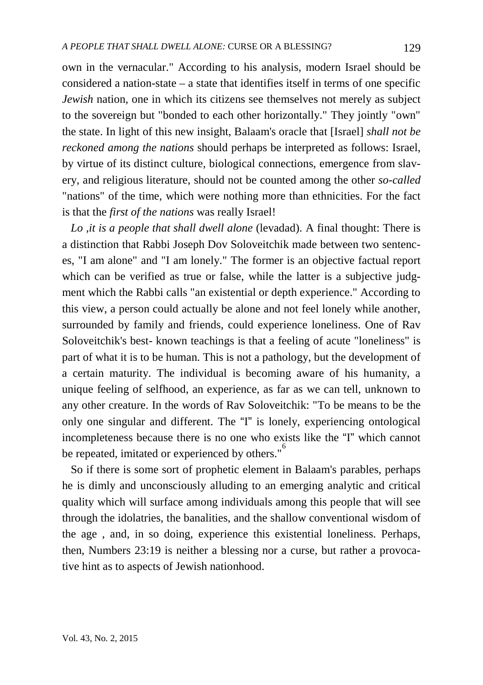own in the vernacular." According to his analysis, modern Israel should be considered a nation-state – a state that identifies itself in terms of one specific *Jewish* nation, one in which its citizens see themselves not merely as subject to the sovereign but "bonded to each other horizontally." They jointly "own" the state. In light of this new insight, Balaam's oracle that [Israel] *shall not be reckoned among the nations* should perhaps be interpreted as follows: Israel, by virtue of its distinct culture, biological connections, emergence from slavery, and religious literature, should not be counted among the other *so-called*  "nations" of the time, which were nothing more than ethnicities. For the fact is that the *first of the nations* was really Israel!

 *Lo ,it is a people that shall dwell alone* (levadad). A final thought: There is a distinction that Rabbi Joseph Dov Soloveitchik made between two sentences, "I am alone" and "I am lonely." The former is an objective factual report which can be verified as true or false, while the latter is a subjective judgment which the Rabbi calls "an existential or depth experience." According to this view, a person could actually be alone and not feel lonely while another, surrounded by family and friends, could experience loneliness. One of Rav Soloveitchik's best- known teachings is that a feeling of acute "loneliness" is part of what it is to be human. This is not a pathology, but the development of a certain maturity. The individual is becoming aware of his humanity, a unique feeling of selfhood, an experience, as far as we can tell, unknown to any other creature. In the words of Rav Soloveitchik: "To be means to be the only one singular and different. The "I" is lonely, experiencing ontological incompleteness because there is no one who exists like the "I" which cannot be repeated, imitated or experienced by others."

 So if there is some sort of prophetic element in Balaam's parables, perhaps he is dimly and unconsciously alluding to an emerging analytic and critical quality which will surface among individuals among this people that will see through the idolatries, the banalities, and the shallow conventional wisdom of the age , and, in so doing, experience this existential loneliness. Perhaps, then, Numbers 23:19 is neither a blessing nor a curse, but rather a provocative hint as to aspects of Jewish nationhood.